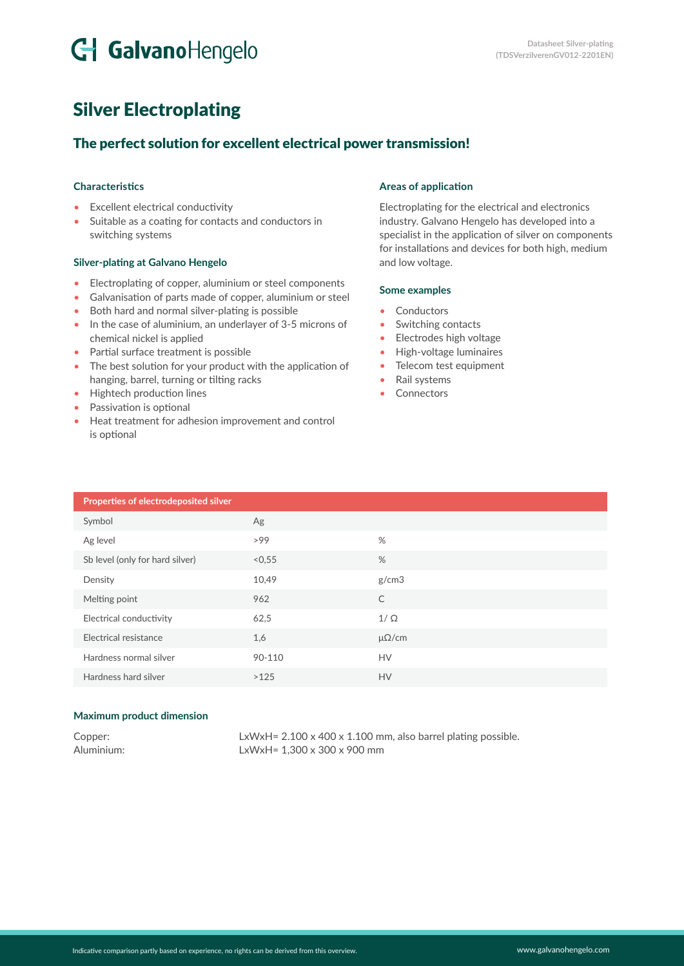# G GalvanoHengelo

## Silver Electroplating

### The perfect solution for excellent electrical power transmission!

#### **Characteristics**

- Excellent electrical conductivity
- Suitable as a coating for contacts and conductors in switching systems

#### **Silver-plating at Galvano Hengelo**

- Electroplating of copper, aluminium or steel components
- Galvanisation of parts made of copper, aluminium or steel
- Both hard and normal silver-plating is possible
- In the case of aluminium, an underlayer of 3-5 microns of chemical nickel is applied
- Partial surface treatment is possible
- The best solution for your product with the application of hanging, barrel, turning or tilting racks
- Hightech production lines
- Passivation is optional
- Heat treatment for adhesion improvement and control is optional

#### **Areas of application**

Electroplating for the electrical and electronics industry. Galvano Hengelo has developed into a specialist in the application of silver on components for installations and devices for both high, medium and low voltage.

#### **Some examples**

- Conductors
- Switching contacts
- Electrodes high voltage
- High-voltage luminaires
- Telecom test equipment
- Rail systems
- Connectors

| Properties of electrodeposited silver |        |                |
|---------------------------------------|--------|----------------|
| Symbol                                | Ag     |                |
| Ag level                              | >99    | %              |
| Sb level (only for hard silver)       | < 0.55 | %              |
| Density                               | 10,49  | g/cm3          |
| Melting point                         | 962    | $\mathsf{C}$   |
| Electrical conductivity               | 62,5   | $1/\Omega$     |
| Electrical resistance                 | 1,6    | $\mu\Omega/cm$ |
| Hardness normal silver                | 90-110 | <b>HV</b>      |
| Hardness hard silver                  | >125   | <b>HV</b>      |

#### **Maximum product dimension**

| Copper:    |  |
|------------|--|
| Aluminium: |  |

LxWxH=  $2.100 \times 400 \times 1.100$  mm, also barrel plating possible.  $LxWxH = 1,300 \times 300 \times 900$  mm